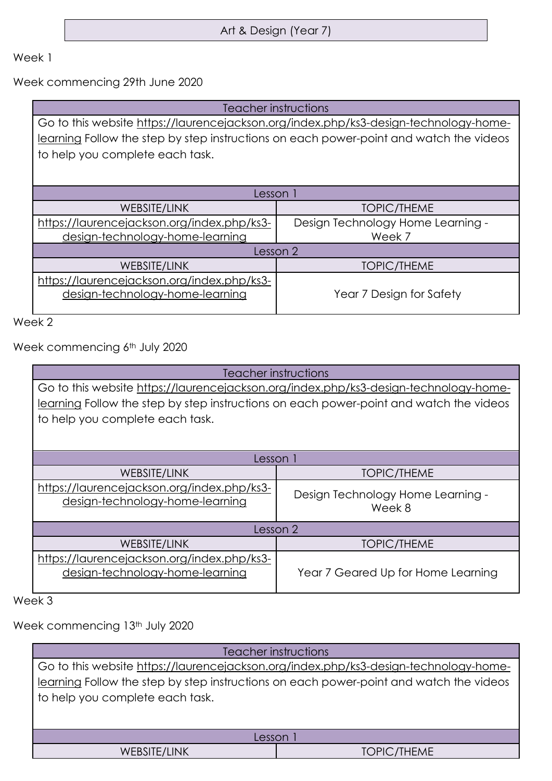Art & Design (Year 7)

## Week 1

Week commencing 29th June 2020

| Teacher instructions                                                                   |                                   |
|----------------------------------------------------------------------------------------|-----------------------------------|
| Go to this website https://laurencejackson.org/index.php/ks3-design-technology-home-   |                                   |
| learning Follow the step by step instructions on each power-point and watch the videos |                                   |
| to help you complete each task.                                                        |                                   |
|                                                                                        |                                   |
|                                                                                        |                                   |
| Lesson 1                                                                               |                                   |
| WEBSITE/LINK                                                                           | <b>TOPIC/THEME</b>                |
| https://laurencejackson.org/index.php/ks3-                                             | Design Technology Home Learning - |
| design-technology-home-learning                                                        | Week 7                            |
| Lesson 2                                                                               |                                   |
| WEBSITE/LINK                                                                           | <b>TOPIC/THEME</b>                |
| https://laurencejackson.org/index.php/ks3-                                             |                                   |
| design-technology-home-learning                                                        | Year 7 Design for Safety          |
|                                                                                        |                                   |

Week 2

Week commencing 6<sup>th</sup> July 2020

| Teacher instructions                                                                   |                                             |
|----------------------------------------------------------------------------------------|---------------------------------------------|
| Go to this website https://laurencejackson.org/index.php/ks3-design-technology-home-   |                                             |
| learning Follow the step by step instructions on each power-point and watch the videos |                                             |
| to help you complete each task.                                                        |                                             |
|                                                                                        |                                             |
|                                                                                        |                                             |
| Lesson 1                                                                               |                                             |
| WEBSITE/LINK                                                                           | <b>TOPIC/THEME</b>                          |
| https://laurencejackson.org/index.php/ks3-<br>design-technology-home-learning          | Design Technology Home Learning -<br>Week 8 |
| Lesson 2                                                                               |                                             |
| WEBSITE/LINK                                                                           | <b>TOPIC/THEME</b>                          |
| https://laurencejackson.org/index.php/ks3-<br>design-technology-home-learning          | Year 7 Geared Up for Home Learning          |

Week 3

Week commencing 13<sup>th</sup> July 2020

| Teacher instructions                                                                                                                                                                                              |                    |
|-------------------------------------------------------------------------------------------------------------------------------------------------------------------------------------------------------------------|--------------------|
| Go to this website https://laurencejackson.org/index.php/ks3-design-technology-home-<br>learning Follow the step by step instructions on each power-point and watch the videos<br>to help you complete each task. |                    |
| Lesson                                                                                                                                                                                                            |                    |
| WEBSITE/LINK                                                                                                                                                                                                      | <b>TOPIC/THEME</b> |
|                                                                                                                                                                                                                   |                    |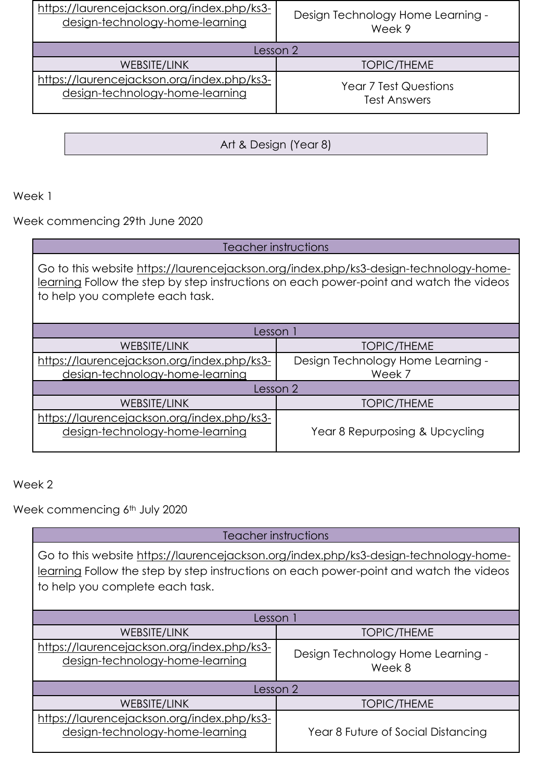| https://laurencejackson.org/index.php/ks3- | Design Technology Home Learning - |
|--------------------------------------------|-----------------------------------|
| design-technology-home-learning            | Week 9                            |
| Lesson 2                                   |                                   |
| WEBSITE/LINK                               | <b>TOPIC/THEME</b>                |
| https://laurencejackson.org/index.php/ks3- | <b>Year 7 Test Questions</b>      |
| design-technology-home-learning            | <b>Test Answers</b>               |

Art & Design (Year 8)

## Week 1

Week commencing 29th June 2020

| Teacher instructions                                                                                                                                                                                              |                                   |  |
|-------------------------------------------------------------------------------------------------------------------------------------------------------------------------------------------------------------------|-----------------------------------|--|
| Go to this website https://laurencejackson.org/index.php/ks3-design-technology-home-<br>learning Follow the step by step instructions on each power-point and watch the videos<br>to help you complete each task. |                                   |  |
| Lesson 1                                                                                                                                                                                                          |                                   |  |
| <b>WEBSITE/LINK</b>                                                                                                                                                                                               | <b>TOPIC/THEME</b>                |  |
| https://laurencejackson.org/index.php/ks3-                                                                                                                                                                        | Design Technology Home Learning - |  |
| design-technology-home-learning                                                                                                                                                                                   | Week 7                            |  |
| Lesson 2                                                                                                                                                                                                          |                                   |  |
| <b>WEBSITE/LINK</b>                                                                                                                                                                                               | <b>TOPIC/THEME</b>                |  |
| https://laurencejackson.org/index.php/ks3-<br>design-technology-home-learning                                                                                                                                     | Year 8 Repurposing & Upcycling    |  |

## Week 2

Week commencing 6<sup>th</sup> July 2020

Teacher instructions

Go to this website [https://laurencejackson.org/index.php/ks3-design-technology-home](https://laurencejackson.org/index.php/ks3-design-technology-home-learning)[learning](https://laurencejackson.org/index.php/ks3-design-technology-home-learning) Follow the step by step instructions on each power-point and watch the videos to help you complete each task.

| Lesson                                                                        |                                             |
|-------------------------------------------------------------------------------|---------------------------------------------|
| WEBSITE/LINK                                                                  | <b>TOPIC/THEME</b>                          |
| https://laurencejackson.org/index.php/ks3-<br>design-technology-home-learning | Design Technology Home Learning -<br>Week 8 |
| Lesson 2                                                                      |                                             |
| <b>WEBSITE/LINK</b>                                                           | <b>TOPIC/THEME</b>                          |
| https://laurencejackson.org/index.php/ks3-<br>design-technology-home-learning | Year 8 Future of Social Distancing          |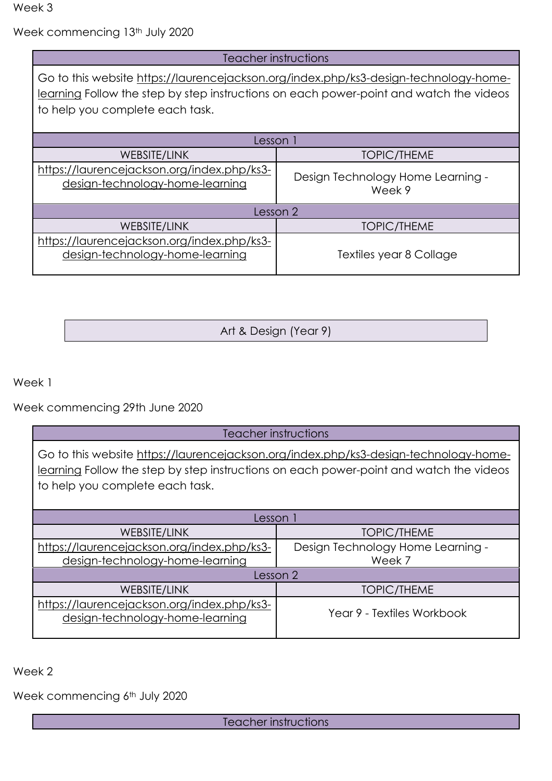Week 3

Week commencing 13<sup>th</sup> July 2020

| Teacher instructions                                                                                                                                                                                              |                                             |
|-------------------------------------------------------------------------------------------------------------------------------------------------------------------------------------------------------------------|---------------------------------------------|
| Go to this website https://laurencejackson.org/index.php/ks3-design-technology-home-<br>learning Follow the step by step instructions on each power-point and watch the videos<br>to help you complete each task. |                                             |
| Lesson 1                                                                                                                                                                                                          |                                             |
| WEBSITE/LINK                                                                                                                                                                                                      | <b>TOPIC/THEME</b>                          |
| https://laurencejackson.org/index.php/ks3-<br>design-technology-home-learning                                                                                                                                     | Design Technology Home Learning -<br>Week 9 |
| Lesson 2                                                                                                                                                                                                          |                                             |
| WEBSITE/LINK                                                                                                                                                                                                      | <b>TOPIC/THEME</b>                          |
| https://laurencejackson.org/index.php/ks3-<br>design-technology-home-learning                                                                                                                                     | Textiles year 8 Collage                     |

| Art & Design (Year 9) |  |
|-----------------------|--|
|-----------------------|--|

Week 1

Week commencing 29th June 2020

Teacher instructions

Go to this website [https://laurencejackson.org/index.php/ks3-design-technology-home](https://laurencejackson.org/index.php/ks3-design-technology-home-learning)[learning](https://laurencejackson.org/index.php/ks3-design-technology-home-learning) Follow the step by step instructions on each power-point and watch the videos to help you complete each task.

| Lesson                                                                        |                                   |
|-------------------------------------------------------------------------------|-----------------------------------|
| <b>WEBSITE/LINK</b>                                                           | <b>TOPIC/THEME</b>                |
| https://laurencejackson.org/index.php/ks3-                                    | Design Technology Home Learning - |
| design-technology-home-learning                                               | Week 7                            |
| Lesson 2                                                                      |                                   |
| <b>WEBSITE/LINK</b>                                                           | <b>TOPIC/THEME</b>                |
| https://laurencejackson.org/index.php/ks3-<br>design-technology-home-learning | Year 9 - Textiles Workbook        |

Week 2

Week commencing 6<sup>th</sup> July 2020